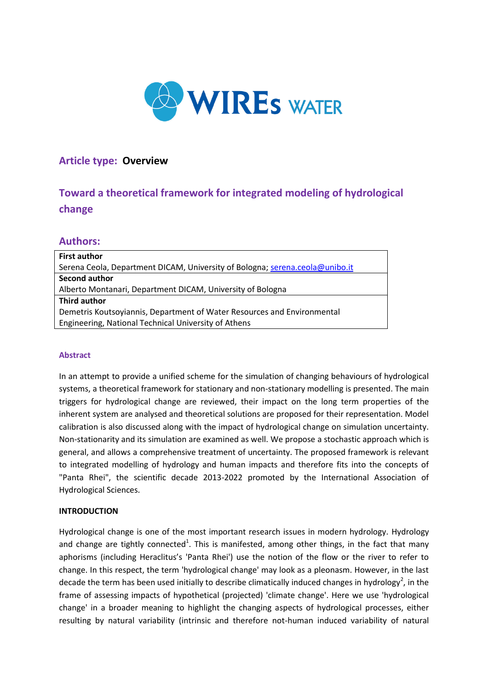

# **Article type: Overview**

# **Toward a theoretical framework for integrated modeling of hydrological change**

# **Authors:**

| <b>First author</b>                                                          |
|------------------------------------------------------------------------------|
| Serena Ceola, Department DICAM, University of Bologna; serena.ceola@unibo.it |
| <b>Second author</b>                                                         |
| Alberto Montanari, Department DICAM, University of Bologna                   |
| <b>Third author</b>                                                          |
| Demetris Koutsoyiannis, Department of Water Resources and Environmental      |
| Engineering, National Technical University of Athens                         |
|                                                                              |

# **Abstract**

In an attempt to provide a unified scheme for the simulation of changing behaviours of hydrological systems, a theoretical framework for stationary and non-stationary modelling is presented. The main triggers for hydrological change are reviewed, their impact on the long term properties of the inherent system are analysed and theoretical solutions are proposed for their representation. Model calibration is also discussed along with the impact of hydrological change on simulation uncertainty. Non-stationarity and its simulation are examined as well. We propose a stochastic approach which is general, and allows a comprehensive treatment of uncertainty. The proposed framework is relevant to integrated modelling of hydrology and human impacts and therefore fits into the concepts of "Panta Rhei", the scientific decade 2013-2022 promoted by the International Association of Hydrological Sciences.

# **INTRODUCTION**

Hydrological change is one of the most important research issues in modern hydrology. Hydrology and change are tightly connected<sup>1</sup>. This is manifested, among other things, in the fact that many aphorisms (including Heraclitus's 'Panta Rhei') use the notion of the flow or the river to refer to change. In this respect, the term 'hydrological change' may look as a pleonasm. However, in the last decade the term has been used initially to describe climatically induced changes in hydrology<sup>2</sup>, in the frame of assessing impacts of hypothetical (projected) 'climate change'. Here we use 'hydrological change' in a broader meaning to highlight the changing aspects of hydrological processes, either resulting by natural variability (intrinsic and therefore not-human induced variability of natural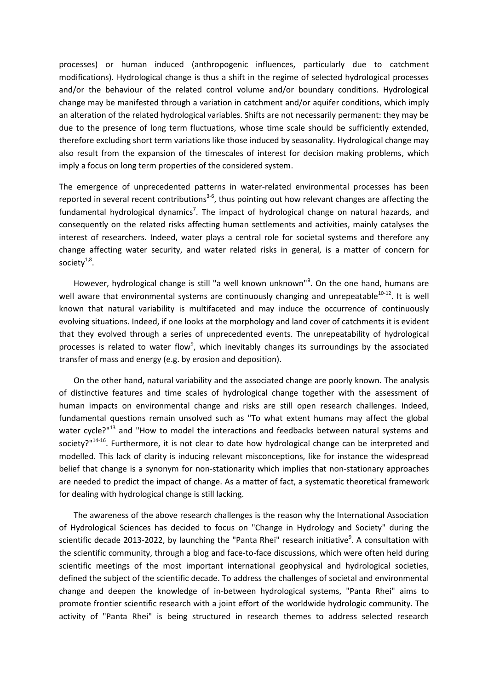processes) or human induced (anthropogenic influences, particularly due to catchment modifications). Hydrological change is thus a shift in the regime of selected hydrological processes and/or the behaviour of the related control volume and/or boundary conditions. Hydrological change may be manifested through a variation in catchment and/or aquifer conditions, which imply an alteration of the related hydrological variables. Shifts are not necessarily permanent: they may be due to the presence of long term fluctuations, whose time scale should be sufficiently extended, therefore excluding short term variations like those induced by seasonality. Hydrological change may also result from the expansion of the timescales of interest for decision making problems, which imply a focus on long term properties of the considered system.

The emergence of unprecedented patterns in water-related environmental processes has been reported in several recent contributions<sup>3-6</sup>, thus pointing out how relevant changes are affecting the fundamental hydrological dynamics<sup>7</sup>. The impact of hydrological change on natural hazards, and consequently on the related risks affecting human settlements and activities, mainly catalyses the interest of researchers. Indeed, water plays a central role for societal systems and therefore any change affecting water security, and water related risks in general, is a matter of concern for society $1.8$ .

However, hydrological change is still "a well known unknown"<sup>9</sup>. On the one hand, humans are well aware that environmental systems are continuously changing and unrepeatable<sup>10-12</sup>. It is well known that natural variability is multifaceted and may induce the occurrence of continuously evolving situations. Indeed, if one looks at the morphology and land cover of catchments it is evident that they evolved through a series of unprecedented events. The unrepeatability of hydrological processes is related to water flow<sup>9</sup>, which inevitably changes its surroundings by the associated transfer of mass and energy (e.g. by erosion and deposition).

On the other hand, natural variability and the associated change are poorly known. The analysis of distinctive features and time scales of hydrological change together with the assessment of human impacts on environmental change and risks are still open research challenges. Indeed, fundamental questions remain unsolved such as "To what extent humans may affect the global water cycle?"<sup>13</sup> and "How to model the interactions and feedbacks between natural systems and society?"<sup>14-16</sup>. Furthermore, it is not clear to date how hydrological change can be interpreted and modelled. This lack of clarity is inducing relevant misconceptions, like for instance the widespread belief that change is a synonym for non-stationarity which implies that non-stationary approaches are needed to predict the impact of change. As a matter of fact, a systematic theoretical framework for dealing with hydrological change is still lacking.

The awareness of the above research challenges is the reason why the International Association of Hydrological Sciences has decided to focus on "Change in Hydrology and Society" during the scientific decade 2013-2022, by launching the "Panta Rhei" research initiative<sup>9</sup>. A consultation with the scientific community, through a blog and face-to-face discussions, which were often held during scientific meetings of the most important international geophysical and hydrological societies, defined the subject of the scientific decade. To address the challenges of societal and environmental change and deepen the knowledge of in-between hydrological systems, "Panta Rhei" aims to promote frontier scientific research with a joint effort of the worldwide hydrologic community. The activity of "Panta Rhei" is being structured in research themes to address selected research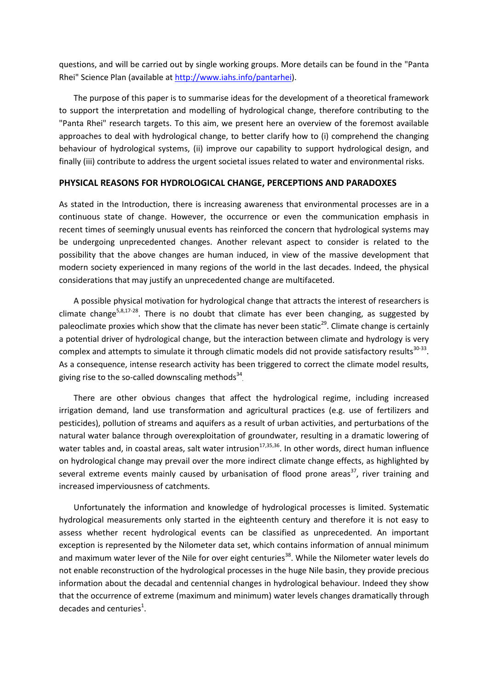questions, and will be carried out by single working groups. More details can be found in the "Panta Rhei" Science Plan (available at [http://www.iahs.info/pantarhei\)](http://www.iahs.info/pantarhei).

The purpose of this paper is to summarise ideas for the development of a theoretical framework to support the interpretation and modelling of hydrological change, therefore contributing to the "Panta Rhei" research targets. To this aim, we present here an overview of the foremost available approaches to deal with hydrological change, to better clarify how to (i) comprehend the changing behaviour of hydrological systems, (ii) improve our capability to support hydrological design, and finally (iii) contribute to address the urgent societal issues related to water and environmental risks.

## **PHYSICAL REASONS FOR HYDROLOGICAL CHANGE, PERCEPTIONS AND PARADOXES**

As stated in the Introduction, there is increasing awareness that environmental processes are in a continuous state of change. However, the occurrence or even the communication emphasis in recent times of seemingly unusual events has reinforced the concern that hydrological systems may be undergoing unprecedented changes. Another relevant aspect to consider is related to the possibility that the above changes are human induced, in view of the massive development that modern society experienced in many regions of the world in the last decades. Indeed, the physical considerations that may justify an unprecedented change are multifaceted.

A possible physical motivation for hydrological change that attracts the interest of researchers is climate change<sup>5,8,17-28</sup>. There is no doubt that climate has ever been changing, as suggested by paleoclimate proxies which show that the climate has never been static<sup>29</sup>. Climate change is certainly a potential driver of hydrological change, but the interaction between climate and hydrology is very complex and attempts to simulate it through climatic models did not provide satisfactory results<sup>30-33</sup>. As a consequence, intense research activity has been triggered to correct the climate model results, giving rise to the so-called downscaling methods $^{34}$ .

There are other obvious changes that affect the hydrological regime, including increased irrigation demand, land use transformation and agricultural practices (e.g. use of fertilizers and pesticides), pollution of streams and aquifers as a result of urban activities, and perturbations of the natural water balance through overexploitation of groundwater, resulting in a dramatic lowering of water tables and, in coastal areas, salt water intrusion<sup>17,35,36</sup>. In other words, direct human influence on hydrological change may prevail over the more indirect climate change effects, as highlighted by several extreme events mainly caused by urbanisation of flood prone areas<sup>37</sup>, river training and increased imperviousness of catchments.

Unfortunately the information and knowledge of hydrological processes is limited. Systematic hydrological measurements only started in the eighteenth century and therefore it is not easy to assess whether recent hydrological events can be classified as unprecedented. An important exception is represented by the Nilometer data set, which contains information of annual minimum and maximum water lever of the Nile for over eight centuries<sup>38</sup>. While the Nilometer water levels do not enable reconstruction of the hydrological processes in the huge Nile basin, they provide precious information about the decadal and centennial changes in hydrological behaviour. Indeed they show that the occurrence of extreme (maximum and minimum) water levels changes dramatically through decades and centuries<sup>1</sup>.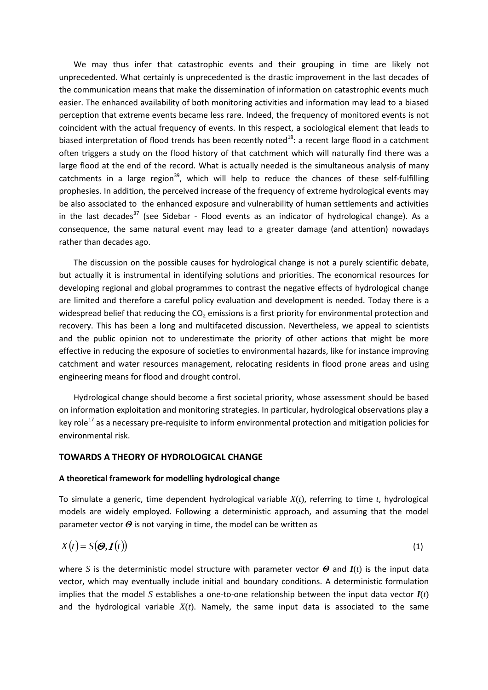We may thus infer that catastrophic events and their grouping in time are likely not unprecedented. What certainly is unprecedented is the drastic improvement in the last decades of the communication means that make the dissemination of information on catastrophic events much easier. The enhanced availability of both monitoring activities and information may lead to a biased perception that extreme events became less rare. Indeed, the frequency of monitored events is not coincident with the actual frequency of events. In this respect, a sociological element that leads to biased interpretation of flood trends has been recently noted $^{18}$ : a recent large flood in a catchment often triggers a study on the flood history of that catchment which will naturally find there was a large flood at the end of the record. What is actually needed is the simultaneous analysis of many catchments in a large region<sup>39</sup>, which will help to reduce the chances of these self-fulfilling prophesies. In addition, the perceived increase of the frequency of extreme hydrological events may be also associated to the enhanced exposure and vulnerability of human settlements and activities in the last decades<sup>37</sup> (see Sidebar - Flood events as an indicator of hydrological change). As a consequence, the same natural event may lead to a greater damage (and attention) nowadays rather than decades ago.

The discussion on the possible causes for hydrological change is not a purely scientific debate, but actually it is instrumental in identifying solutions and priorities. The economical resources for developing regional and global programmes to contrast the negative effects of hydrological change are limited and therefore a careful policy evaluation and development is needed. Today there is a widespread belief that reducing the  $CO<sub>2</sub>$  emissions is a first priority for environmental protection and recovery. This has been a long and multifaceted discussion. Nevertheless, we appeal to scientists and the public opinion not to underestimate the priority of other actions that might be more effective in reducing the exposure of societies to environmental hazards, like for instance improving catchment and water resources management, relocating residents in flood prone areas and using engineering means for flood and drought control.

Hydrological change should become a first societal priority, whose assessment should be based on information exploitation and monitoring strategies. In particular, hydrological observations play a key role<sup>17</sup> as a necessary pre-requisite to inform environmental protection and mitigation policies for environmental risk.

## **TOWARDS A THEORY OF HYDROLOGICAL CHANGE**

## **A theoretical framework for modelling hydrological change**

To simulate a generic, time dependent hydrological variable *X*(*t*), referring to time *t*, hydrological models are widely employed. Following a deterministic approach, and assuming that the model parameter vector *Θ* is not varying in time, the model can be written as

$$
X(t) = S(\Theta, I(t))
$$
\n<sup>(1)</sup>

where *S* is the deterministic model structure with parameter vector *Θ* and *I*(*t*) is the input data vector, which may eventually include initial and boundary conditions. A deterministic formulation implies that the model *S* establishes a one-to-one relationship between the input data vector *I*(*t*) and the hydrological variable *X*(*t*). Namely, the same input data is associated to the same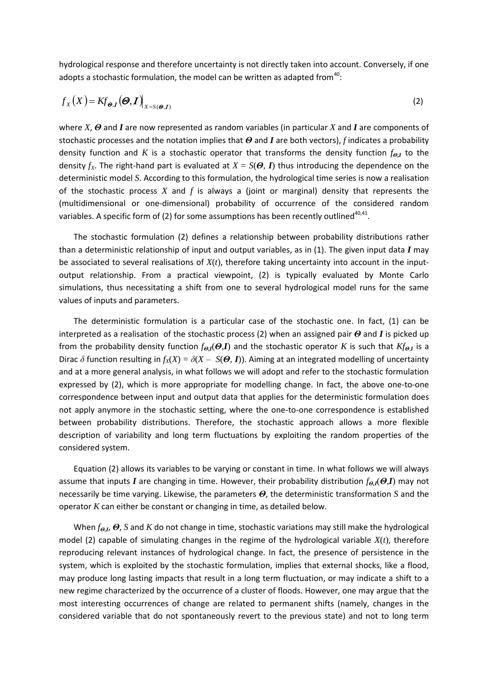hydrological response and therefore uncertainty is not directly taken into account. Conversely, if one adopts a stochastic formulation, the model can be written as adapted from<sup>40</sup>:

$$
f_X(X) = Kf_{\boldsymbol{\Theta},I}(\boldsymbol{\Theta},I)|_{X = S(\boldsymbol{\Theta},I)}
$$
\n(2)

where *X*, *Θ* and *I* are now represented as random variables (in particular *X* and *I* are components of stochastic processes and the notation implies that *Θ* and *I* are both vectors), *f* indicates a probability density function and *K* is a stochastic operator that transforms the density function *fΘ***,***<sup>I</sup>* to the density  $f_X$ . The right-hand part is evaluated at  $X = S(\theta, I)$  thus introducing the dependence on the deterministic model *S*. According to this formulation, the hydrological time series is now a realisation of the stochastic process *X* and *f* is always a (joint or marginal) density that represents the (multidimensional or one-dimensional) probability of occurrence of the considered random variables. A specific form of (2) for some assumptions has been recently outlined<sup>40,41</sup>.

The stochastic formulation (2) defines a relationship between probability distributions rather than a deterministic relationship of input and output variables, as in (1). The given input data *I* may be associated to several realisations of  $X(t)$ , therefore taking uncertainty into account in the inputoutput relationship. From a practical viewpoint, (2) is typically evaluated by Monte Carlo simulations, thus necessitating a shift from one to several hydrological model runs for the same values of inputs and parameters.

The deterministic formulation is a particular case of the stochastic one. In fact, (1) can be interpreted as a realisation of the stochastic process (2) when an assigned pair *Θ* and *I* is picked up from the probability density function *fΘ***,***I*(*Θ*,*I*) and the stochastic operator *K* is such that *KfΘ*,*<sup>I</sup>* is a Dirac  $\delta$  function resulting in  $f_X(X) = \delta(X - S(\theta, I))$ . Aiming at an integrated modelling of uncertainty and at a more general analysis, in what follows we will adopt and refer to the stochastic formulation expressed by (2), which is more appropriate for modelling change. In fact, the above one-to-one correspondence between input and output data that applies for the deterministic formulation does not apply anymore in the stochastic setting, where the one-to-one correspondence is established between probability distributions. Therefore, the stochastic approach allows a more flexible description of variability and long term fluctuations by exploiting the random properties of the considered system.

Equation (2) allows its variables to be varying or constant in time. In what follows we will always assume that inputs *I* are changing in time. However, their probability distribution *fΘ,I*(*Θ*,*I*) may not necessarily be time varying. Likewise, the parameters *Θ*, the deterministic transformation *S* and the operator *K* can either be constant or changing in time, as detailed below.

When *fΘ,I*, *Θ*, *S* and *K* do not change in time, stochastic variations may still make the hydrological model (2) capable of simulating changes in the regime of the hydrological variable *X*(*t*), therefore reproducing relevant instances of hydrological change. In fact, the presence of persistence in the system, which is exploited by the stochastic formulation, implies that external shocks, like a flood, may produce long lasting impacts that result in a long term fluctuation, or may indicate a shift to a new regime characterized by the occurrence of a cluster of floods. However, one may argue that the most interesting occurrences of change are related to permanent shifts (namely, changes in the considered variable that do not spontaneously revert to the previous state) and not to long term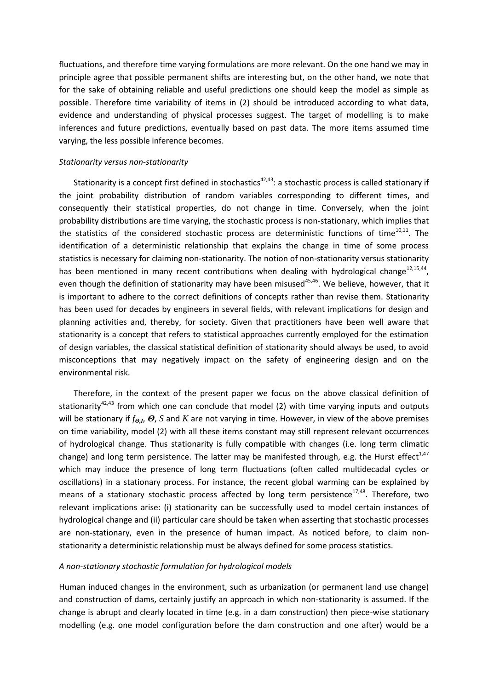fluctuations, and therefore time varying formulations are more relevant. On the one hand we may in principle agree that possible permanent shifts are interesting but, on the other hand, we note that for the sake of obtaining reliable and useful predictions one should keep the model as simple as possible. Therefore time variability of items in (2) should be introduced according to what data, evidence and understanding of physical processes suggest. The target of modelling is to make inferences and future predictions, eventually based on past data. The more items assumed time varying, the less possible inference becomes.

### *Stationarity versus non-stationarity*

Stationarity is a concept first defined in stochastics<sup>42,43</sup>: a stochastic process is called stationary if the joint probability distribution of random variables corresponding to different times, and consequently their statistical properties, do not change in time. Conversely, when the joint probability distributions are time varying, the stochastic process is non-stationary, which implies that the statistics of the considered stochastic process are deterministic functions of time<sup>10,11</sup>. The identification of a deterministic relationship that explains the change in time of some process statistics is necessary for claiming non-stationarity. The notion of non-stationarity versus stationarity has been mentioned in many recent contributions when dealing with hydrological change<sup>12,15,44</sup>, even though the definition of stationarity may have been misused<sup>45,46</sup>. We believe, however, that it is important to adhere to the correct definitions of concepts rather than revise them. Stationarity has been used for decades by engineers in several fields, with relevant implications for design and planning activities and, thereby, for society. Given that practitioners have been well aware that stationarity is a concept that refers to statistical approaches currently employed for the estimation of design variables, the classical statistical definition of stationarity should always be used, to avoid misconceptions that may negatively impact on the safety of engineering design and on the environmental risk.

Therefore, in the context of the present paper we focus on the above classical definition of stationarity<sup>42,43</sup> from which one can conclude that model (2) with time varying inputs and outputs will be stationary if *fΘ,I*, *Θ*, *S* and *K* are not varying in time. However, in view of the above premises on time variability, model (2) with all these items constant may still represent relevant occurrences of hydrological change. Thus stationarity is fully compatible with changes (i.e. long term climatic change) and long term persistence. The latter may be manifested through, e.g. the Hurst effect<sup>1,47</sup> which may induce the presence of long term fluctuations (often called multidecadal cycles or oscillations) in a stationary process. For instance, the recent global warming can be explained by means of a stationary stochastic process affected by long term persistence<sup>17,48</sup>. Therefore, two relevant implications arise: (i) stationarity can be successfully used to model certain instances of hydrological change and (ii) particular care should be taken when asserting that stochastic processes are non-stationary, even in the presence of human impact. As noticed before, to claim nonstationarity a deterministic relationship must be always defined for some process statistics.

#### *A non-stationary stochastic formulation for hydrological models*

Human induced changes in the environment, such as urbanization (or permanent land use change) and construction of dams, certainly justify an approach in which non-stationarity is assumed. If the change is abrupt and clearly located in time (e.g. in a dam construction) then piece-wise stationary modelling (e.g. one model configuration before the dam construction and one after) would be a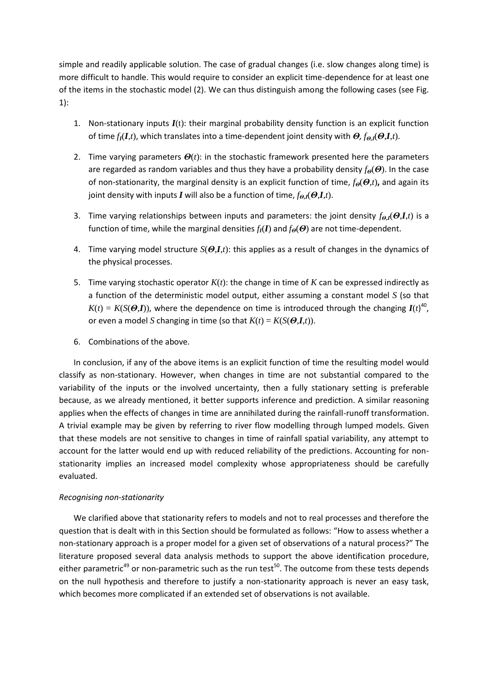simple and readily applicable solution. The case of gradual changes (i.e. slow changes along time) is more difficult to handle. This would require to consider an explicit time-dependence for at least one of the items in the stochastic model (2). We can thus distinguish among the following cases (see Fig. 1):

- 1. Non-stationary inputs *I*(t): their marginal probability density function is an explicit function of time *fI*(*I,t*), which translates into a time-dependent joint density with *Θ, fΘ,I*(*Θ*,*I*,*t*).
- 2. Time varying parameters *Θ*(*t*): in the stochastic framework presented here the parameters are regarded as random variables and thus they have a probability density *fΘ*(*Θ*). In the case of non-stationarity, the marginal density is an explicit function of time, *fΘ*(*Θ,t*)**,** and again its joint density with inputs *I* will also be a function of time, *fΘ,I*(*Θ*,*I*,*t*).
- 3. Time varying relationships between inputs and parameters: the joint density *fΘ,I*(*Θ*,*I*,*t*) is a function of time, while the marginal densities *fI*(*I*) and *fΘ*(*Θ*) are not time-dependent.
- 4. Time varying model structure *S*(*Θ*,*I*,*t*): this applies as a result of changes in the dynamics of the physical processes.
- 5. Time varying stochastic operator *K*(*t*): the change in time of *K* can be expressed indirectly as a function of the deterministic model output, either assuming a constant model *S* (so that  $K(t) = K(S(\mathbf{\Theta},\mathbf{I}))$ , where the dependence on time is introduced through the changing  $I(t)^{40}$ , or even a model *S* changing in time (so that  $K(t) = K(S(\Theta, I, t))$ .
- 6. Combinations of the above.

In conclusion, if any of the above items is an explicit function of time the resulting model would classify as non-stationary. However, when changes in time are not substantial compared to the variability of the inputs or the involved uncertainty, then a fully stationary setting is preferable because, as we already mentioned, it better supports inference and prediction. A similar reasoning applies when the effects of changes in time are annihilated during the rainfall-runoff transformation. A trivial example may be given by referring to river flow modelling through lumped models. Given that these models are not sensitive to changes in time of rainfall spatial variability, any attempt to account for the latter would end up with reduced reliability of the predictions. Accounting for nonstationarity implies an increased model complexity whose appropriateness should be carefully evaluated.

# *Recognising non-stationarity*

We clarified above that stationarity refers to models and not to real processes and therefore the question that is dealt with in this Section should be formulated as follows: "How to assess whether a non-stationary approach is a proper model for a given set of observations of a natural process?" The literature proposed several data analysis methods to support the above identification procedure, either parametric<sup>49</sup> or non-parametric such as the run test<sup>50</sup>. The outcome from these tests depends on the null hypothesis and therefore to justify a non-stationarity approach is never an easy task, which becomes more complicated if an extended set of observations is not available.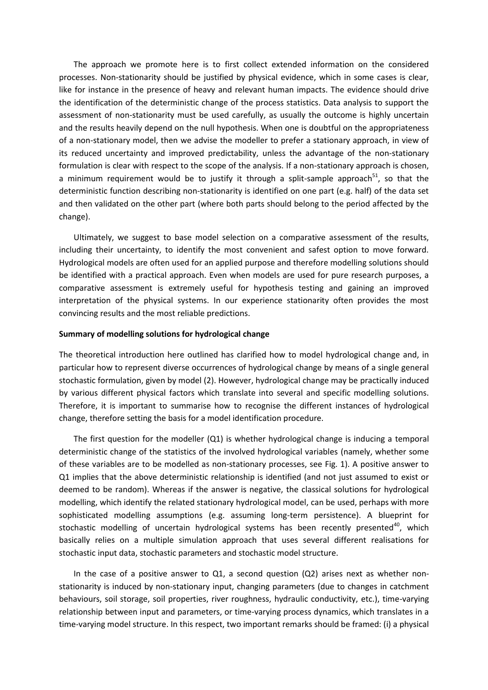The approach we promote here is to first collect extended information on the considered processes. Non-stationarity should be justified by physical evidence, which in some cases is clear, like for instance in the presence of heavy and relevant human impacts. The evidence should drive the identification of the deterministic change of the process statistics. Data analysis to support the assessment of non-stationarity must be used carefully, as usually the outcome is highly uncertain and the results heavily depend on the null hypothesis. When one is doubtful on the appropriateness of a non-stationary model, then we advise the modeller to prefer a stationary approach, in view of its reduced uncertainty and improved predictability, unless the advantage of the non-stationary formulation is clear with respect to the scope of the analysis. If a non-stationary approach is chosen, a minimum requirement would be to justify it through a split-sample approach<sup>51</sup>, so that the deterministic function describing non-stationarity is identified on one part (e.g. half) of the data set and then validated on the other part (where both parts should belong to the period affected by the change).

Ultimately, we suggest to base model selection on a comparative assessment of the results, including their uncertainty, to identify the most convenient and safest option to move forward. Hydrological models are often used for an applied purpose and therefore modelling solutions should be identified with a practical approach. Even when models are used for pure research purposes, a comparative assessment is extremely useful for hypothesis testing and gaining an improved interpretation of the physical systems. In our experience stationarity often provides the most convincing results and the most reliable predictions.

#### **Summary of modelling solutions for hydrological change**

The theoretical introduction here outlined has clarified how to model hydrological change and, in particular how to represent diverse occurrences of hydrological change by means of a single general stochastic formulation, given by model (2). However, hydrological change may be practically induced by various different physical factors which translate into several and specific modelling solutions. Therefore, it is important to summarise how to recognise the different instances of hydrological change, therefore setting the basis for a model identification procedure.

The first question for the modeller (Q1) is whether hydrological change is inducing a temporal deterministic change of the statistics of the involved hydrological variables (namely, whether some of these variables are to be modelled as non-stationary processes, see Fig. 1). A positive answer to Q1 implies that the above deterministic relationship is identified (and not just assumed to exist or deemed to be random). Whereas if the answer is negative, the classical solutions for hydrological modelling, which identify the related stationary hydrological model, can be used, perhaps with more sophisticated modelling assumptions (e.g. assuming long-term persistence). A blueprint for stochastic modelling of uncertain hydrological systems has been recently presented<sup>40</sup>, which basically relies on a multiple simulation approach that uses several different realisations for stochastic input data, stochastic parameters and stochastic model structure.

In the case of a positive answer to  $Q1$ , a second question  $(Q2)$  arises next as whether nonstationarity is induced by non-stationary input, changing parameters (due to changes in catchment behaviours, soil storage, soil properties, river roughness, hydraulic conductivity, etc.), time-varying relationship between input and parameters, or time-varying process dynamics, which translates in a time-varying model structure. In this respect, two important remarks should be framed: (i) a physical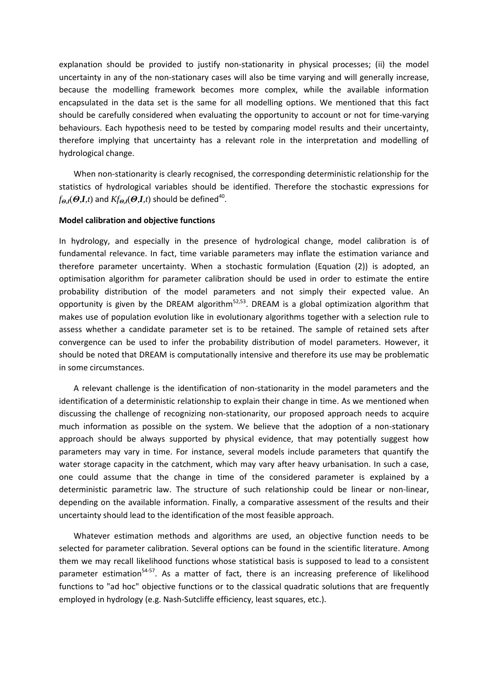explanation should be provided to justify non-stationarity in physical processes; (ii) the model uncertainty in any of the non-stationary cases will also be time varying and will generally increase, because the modelling framework becomes more complex, while the available information encapsulated in the data set is the same for all modelling options. We mentioned that this fact should be carefully considered when evaluating the opportunity to account or not for time-varying behaviours. Each hypothesis need to be tested by comparing model results and their uncertainty, therefore implying that uncertainty has a relevant role in the interpretation and modelling of hydrological change.

When non-stationarity is clearly recognised, the corresponding deterministic relationship for the statistics of hydrological variables should be identified. Therefore the stochastic expressions for  $f_{\boldsymbol{\Theta},\boldsymbol{I}}(\boldsymbol{\Theta},\boldsymbol{I},t)$  and  $Kf_{\boldsymbol{\Theta},\boldsymbol{I}}(\boldsymbol{\Theta},\boldsymbol{I},t)$  should be defined<sup>40</sup>.

#### **Model calibration and objective functions**

In hydrology, and especially in the presence of hydrological change, model calibration is of fundamental relevance. In fact, time variable parameters may inflate the estimation variance and therefore parameter uncertainty. When a stochastic formulation (Equation (2)) is adopted, an optimisation algorithm for parameter calibration should be used in order to estimate the entire probability distribution of the model parameters and not simply their expected value. An opportunity is given by the DREAM algorithm<sup>52,53</sup>. DREAM is a global optimization algorithm that makes use of population evolution like in evolutionary algorithms together with a selection rule to assess whether a candidate parameter set is to be retained. The sample of retained sets after convergence can be used to infer the probability distribution of model parameters. However, it should be noted that DREAM is computationally intensive and therefore its use may be problematic in some circumstances.

A relevant challenge is the identification of non-stationarity in the model parameters and the identification of a deterministic relationship to explain their change in time. As we mentioned when discussing the challenge of recognizing non-stationarity, our proposed approach needs to acquire much information as possible on the system. We believe that the adoption of a non-stationary approach should be always supported by physical evidence, that may potentially suggest how parameters may vary in time. For instance, several models include parameters that quantify the water storage capacity in the catchment, which may vary after heavy urbanisation. In such a case, one could assume that the change in time of the considered parameter is explained by a deterministic parametric law. The structure of such relationship could be linear or non-linear, depending on the available information. Finally, a comparative assessment of the results and their uncertainty should lead to the identification of the most feasible approach.

Whatever estimation methods and algorithms are used, an objective function needs to be selected for parameter calibration. Several options can be found in the scientific literature. Among them we may recall likelihood functions whose statistical basis is supposed to lead to a consistent parameter estimation<sup>54-57</sup>. As a matter of fact, there is an increasing preference of likelihood functions to "ad hoc" objective functions or to the classical quadratic solutions that are frequently employed in hydrology (e.g. Nash-Sutcliffe efficiency, least squares, etc.).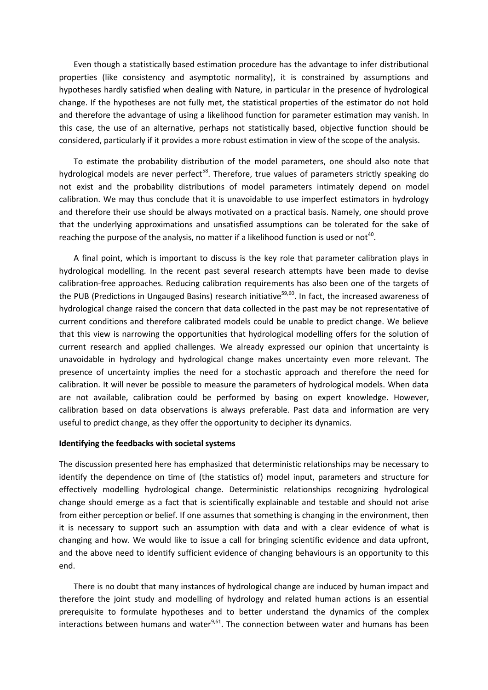Even though a statistically based estimation procedure has the advantage to infer distributional properties (like consistency and asymptotic normality), it is constrained by assumptions and hypotheses hardly satisfied when dealing with Nature, in particular in the presence of hydrological change. If the hypotheses are not fully met, the statistical properties of the estimator do not hold and therefore the advantage of using a likelihood function for parameter estimation may vanish. In this case, the use of an alternative, perhaps not statistically based, objective function should be considered, particularly if it provides a more robust estimation in view of the scope of the analysis.

To estimate the probability distribution of the model parameters, one should also note that hydrological models are never perfect<sup>58</sup>. Therefore, true values of parameters strictly speaking do not exist and the probability distributions of model parameters intimately depend on model calibration. We may thus conclude that it is unavoidable to use imperfect estimators in hydrology and therefore their use should be always motivated on a practical basis. Namely, one should prove that the underlying approximations and unsatisfied assumptions can be tolerated for the sake of reaching the purpose of the analysis, no matter if a likelihood function is used or not<sup>40</sup>.

A final point, which is important to discuss is the key role that parameter calibration plays in hydrological modelling. In the recent past several research attempts have been made to devise calibration-free approaches. Reducing calibration requirements has also been one of the targets of the PUB (Predictions in Ungauged Basins) research initiative<sup>59,60</sup>. In fact, the increased awareness of hydrological change raised the concern that data collected in the past may be not representative of current conditions and therefore calibrated models could be unable to predict change. We believe that this view is narrowing the opportunities that hydrological modelling offers for the solution of current research and applied challenges. We already expressed our opinion that uncertainty is unavoidable in hydrology and hydrological change makes uncertainty even more relevant. The presence of uncertainty implies the need for a stochastic approach and therefore the need for calibration. It will never be possible to measure the parameters of hydrological models. When data are not available, calibration could be performed by basing on expert knowledge. However, calibration based on data observations is always preferable. Past data and information are very useful to predict change, as they offer the opportunity to decipher its dynamics.

#### **Identifying the feedbacks with societal systems**

The discussion presented here has emphasized that deterministic relationships may be necessary to identify the dependence on time of (the statistics of) model input, parameters and structure for effectively modelling hydrological change. Deterministic relationships recognizing hydrological change should emerge as a fact that is scientifically explainable and testable and should not arise from either perception or belief. If one assumes that something is changing in the environment, then it is necessary to support such an assumption with data and with a clear evidence of what is changing and how. We would like to issue a call for bringing scientific evidence and data upfront, and the above need to identify sufficient evidence of changing behaviours is an opportunity to this end.

There is no doubt that many instances of hydrological change are induced by human impact and therefore the joint study and modelling of hydrology and related human actions is an essential prerequisite to formulate hypotheses and to better understand the dynamics of the complex interactions between humans and water<sup>9,61</sup>. The connection between water and humans has been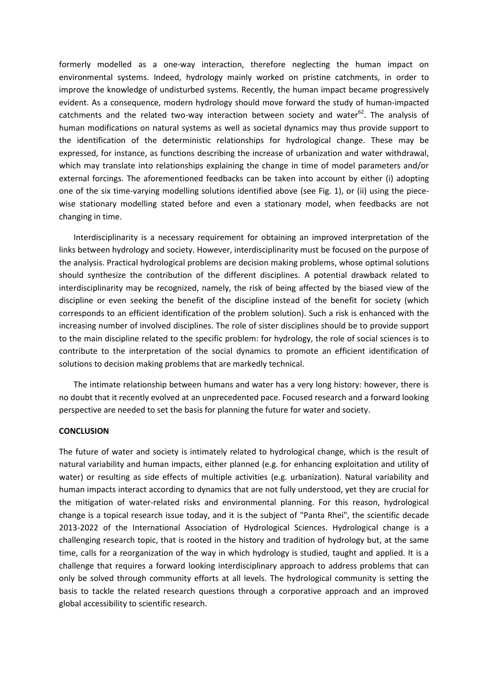formerly modelled as a one-way interaction, therefore neglecting the human impact on environmental systems. Indeed, hydrology mainly worked on pristine catchments, in order to improve the knowledge of undisturbed systems. Recently, the human impact became progressively evident. As a consequence, modern hydrology should move forward the study of human-impacted catchments and the related two-way interaction between society and water<sup>62</sup>. The analysis of human modifications on natural systems as well as societal dynamics may thus provide support to the identification of the deterministic relationships for hydrological change. These may be expressed, for instance, as functions describing the increase of urbanization and water withdrawal, which may translate into relationships explaining the change in time of model parameters and/or external forcings. The aforementioned feedbacks can be taken into account by either (i) adopting one of the six time-varying modelling solutions identified above (see Fig. 1), or (ii) using the piecewise stationary modelling stated before and even a stationary model, when feedbacks are not changing in time.

Interdisciplinarity is a necessary requirement for obtaining an improved interpretation of the links between hydrology and society. However, interdisciplinarity must be focused on the purpose of the analysis. Practical hydrological problems are decision making problems, whose optimal solutions should synthesize the contribution of the different disciplines. A potential drawback related to interdisciplinarity may be recognized, namely, the risk of being affected by the biased view of the discipline or even seeking the benefit of the discipline instead of the benefit for society (which corresponds to an efficient identification of the problem solution). Such a risk is enhanced with the increasing number of involved disciplines. The role of sister disciplines should be to provide support to the main discipline related to the specific problem: for hydrology, the role of social sciences is to contribute to the interpretation of the social dynamics to promote an efficient identification of solutions to decision making problems that are markedly technical.

The intimate relationship between humans and water has a very long history: however, there is no doubt that it recently evolved at an unprecedented pace. Focused research and a forward looking perspective are needed to set the basis for planning the future for water and society.

#### **CONCLUSION**

The future of water and society is intimately related to hydrological change, which is the result of natural variability and human impacts, either planned (e.g. for enhancing exploitation and utility of water) or resulting as side effects of multiple activities (e.g. urbanization). Natural variability and human impacts interact according to dynamics that are not fully understood, yet they are crucial for the mitigation of water-related risks and environmental planning. For this reason, hydrological change is a topical research issue today, and it is the subject of "Panta Rhei", the scientific decade 2013-2022 of the International Association of Hydrological Sciences. Hydrological change is a challenging research topic, that is rooted in the history and tradition of hydrology but, at the same time, calls for a reorganization of the way in which hydrology is studied, taught and applied. It is a challenge that requires a forward looking interdisciplinary approach to address problems that can only be solved through community efforts at all levels. The hydrological community is setting the basis to tackle the related research questions through a corporative approach and an improved global accessibility to scientific research.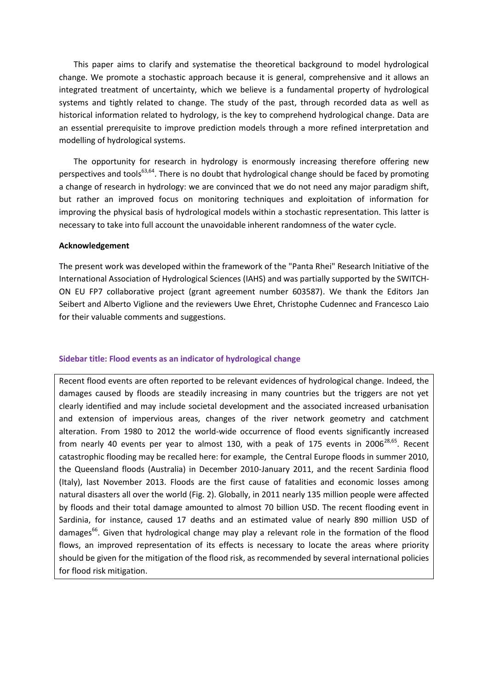This paper aims to clarify and systematise the theoretical background to model hydrological change. We promote a stochastic approach because it is general, comprehensive and it allows an integrated treatment of uncertainty, which we believe is a fundamental property of hydrological systems and tightly related to change. The study of the past, through recorded data as well as historical information related to hydrology, is the key to comprehend hydrological change. Data are an essential prerequisite to improve prediction models through a more refined interpretation and modelling of hydrological systems.

The opportunity for research in hydrology is enormously increasing therefore offering new perspectives and tools<sup>63,64</sup>. There is no doubt that hydrological change should be faced by promoting a change of research in hydrology: we are convinced that we do not need any major paradigm shift, but rather an improved focus on monitoring techniques and exploitation of information for improving the physical basis of hydrological models within a stochastic representation. This latter is necessary to take into full account the unavoidable inherent randomness of the water cycle.

#### **Acknowledgement**

The present work was developed within the framework of the "Panta Rhei" Research Initiative of the International Association of Hydrological Sciences (IAHS) and was partially supported by the SWITCH-ON EU FP7 collaborative project (grant agreement number 603587). We thank the Editors Jan Seibert and Alberto Viglione and the reviewers Uwe Ehret, Christophe Cudennec and Francesco Laio for their valuable comments and suggestions.

## **Sidebar title: Flood events as an indicator of hydrological change**

Recent flood events are often reported to be relevant evidences of hydrological change. Indeed, the damages caused by floods are steadily increasing in many countries but the triggers are not yet clearly identified and may include societal development and the associated increased urbanisation and extension of impervious areas, changes of the river network geometry and catchment alteration. From 1980 to 2012 the world-wide occurrence of flood events significantly increased from nearly 40 events per year to almost 130, with a peak of 175 events in 2006 $^{28,65}$ . Recent catastrophic flooding may be recalled here: for example, the Central Europe floods in summer 2010, the Queensland floods (Australia) in December 2010-January 2011, and the recent Sardinia flood (Italy), last November 2013. Floods are the first cause of fatalities and economic losses among natural disasters all over the world (Fig. 2). Globally, in 2011 nearly 135 million people were affected by floods and their total damage amounted to almost 70 billion USD. The recent flooding event in Sardinia, for instance, caused 17 deaths and an estimated value of nearly 890 million USD of damages<sup>66</sup>. Given that hydrological change may play a relevant role in the formation of the flood flows, an improved representation of its effects is necessary to locate the areas where priority should be given for the mitigation of the flood risk, as recommended by several international policies for flood risk mitigation.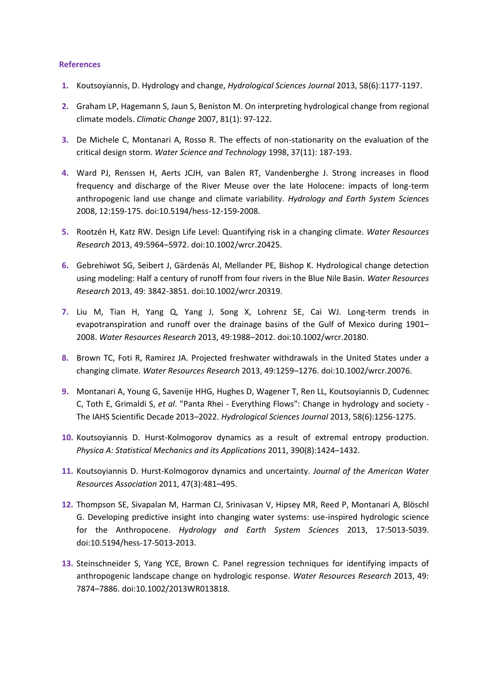# **References**

- **1.** Koutsoyiannis, D. Hydrology and change, *Hydrological Sciences Journal* 2013, 58(6):1177-1197.
- **2.** Graham LP, Hagemann S, Jaun S, Beniston M. On interpreting hydrological change from regional climate models. *Climatic Change* 2007, 81(1): 97-122.
- **3.** De Michele C, Montanari A, Rosso R. The effects of non-stationarity on the evaluation of the critical design storm. *Water Science and Technology* 1998, 37(11): 187-193.
- **4.** Ward PJ, Renssen H, Aerts JCJH, van Balen RT, Vandenberghe J. Strong increases in flood frequency and discharge of the River Meuse over the late Holocene: impacts of long-term anthropogenic land use change and climate variability. *Hydrology and Earth System Sciences* 2008, 12:159-175. doi:10.5194/hess-12-159-2008.
- **5.** Rootzén H, Katz RW. Design Life Level: Quantifying risk in a changing climate. *Water Resources Research* 2013, 49:5964–5972. doi:10.1002/wrcr.20425.
- **6.** Gebrehiwot SG, Seibert J, Gärdenäs AI, Mellander PE, Bishop K. Hydrological change detection using modeling: Half a century of runoff from four rivers in the Blue Nile Basin. *Water Resources Research* 2013, 49: 3842-3851. doi:10.1002/wrcr.20319.
- **7.** Liu M, Tian H, Yang Q, Yang J, Song X, Lohrenz SE, Cai WJ. Long-term trends in evapotranspiration and runoff over the drainage basins of the Gulf of Mexico during 1901– 2008. *Water Resources Research* 2013, 49:1988–2012. doi:10.1002/wrcr.20180.
- **8.** Brown TC, Foti R, Ramirez JA. Projected freshwater withdrawals in the United States under a changing climate. *Water Resources Research* 2013, 49:1259–1276. doi:10.1002/wrcr.20076.
- **9.** Montanari A, Young G, Savenije HHG, Hughes D, Wagener T, Ren LL, Koutsoyiannis D, Cudennec C, Toth E, Grimaldi S, *et al*. "Panta Rhei - Everything Flows": Change in hydrology and society - The IAHS Scientific Decade 2013–2022. *Hydrological Sciences Journal* 2013, 58(6):1256-1275.
- **10.** Koutsoyiannis D. Hurst-Kolmogorov dynamics as a result of extremal entropy production. *Physica A: Statistical Mechanics and its Applications* 2011, 390(8):1424–1432.
- **11.** Koutsoyiannis D. Hurst-Kolmogorov dynamics and uncertainty. *Journal of the American Water Resources Association* 2011, 47(3):481–495.
- **12.** Thompson SE, Sivapalan M, Harman CJ, Srinivasan V, Hipsey MR, Reed P, Montanari A, Blöschl G. Developing predictive insight into changing water systems: use-inspired hydrologic science for the Anthropocene. *Hydrology and Earth System Sciences* 2013, 17:5013-5039. doi:10.5194/hess-17-5013-2013.
- **13.** Steinschneider S, Yang YCE, Brown C. Panel regression techniques for identifying impacts of anthropogenic landscape change on hydrologic response. *Water Resources Research* 2013, 49: 7874–7886. doi:10.1002/2013WR013818.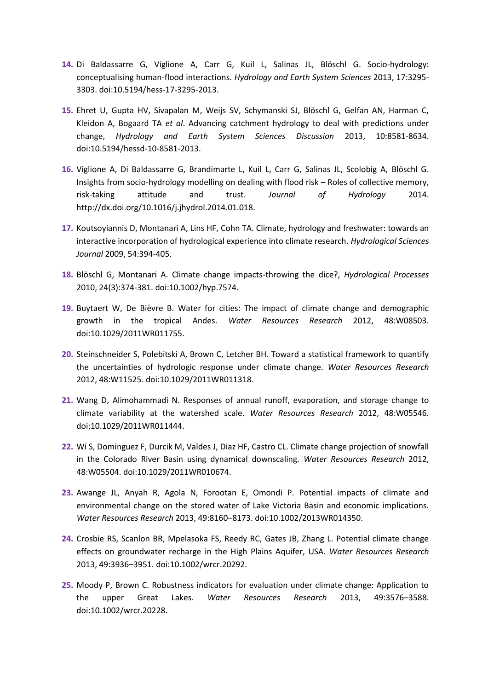- **14.** Di Baldassarre G, Viglione A, Carr G, Kuil L, Salinas JL, Blöschl G. Socio-hydrology: conceptualising human-flood interactions. *Hydrology and Earth System Sciences* 2013, 17:3295- 3303. doi:10.5194/hess-17-3295-2013.
- **15.** Ehret U, Gupta HV, Sivapalan M, Weijs SV, Schymanski SJ, Blöschl G, Gelfan AN, Harman C, Kleidon A, Bogaard TA *et al*. Advancing catchment hydrology to deal with predictions under change, *Hydrology and Earth System Sciences Discussion* 2013, 10:8581-8634. doi:10.5194/hessd-10-8581-2013.
- **16.** Viglione A, Di Baldassarre G, Brandimarte L, Kuil L, Carr G, Salinas JL, Scolobig A, Blöschl G. Insights from socio-hydrology modelling on dealing with flood risk – Roles of collective memory, risk-taking attitude and trust. *Journal of Hydrology* 2014. http://dx.doi.org/10.1016/j.jhydrol.2014.01.018.
- **17.** Koutsoyiannis D, Montanari A, Lins HF, Cohn TA. Climate, hydrology and freshwater: towards an interactive incorporation of hydrological experience into climate research. *Hydrological Sciences Journal* 2009, 54:394-405.
- **18.** Blöschl G, Montanari A. Climate change impacts-throwing the dice?, *Hydrological Processes*  2010, 24(3):374-381. doi:10.1002/hyp.7574.
- **19.** Buytaert W, De Bièvre B. Water for cities: The impact of climate change and demographic growth in the tropical Andes. *Water Resources Research* 2012, 48:W08503. doi:10.1029/2011WR011755.
- **20.** Steinschneider S, Polebitski A, Brown C, Letcher BH. Toward a statistical framework to quantify the uncertainties of hydrologic response under climate change. *Water Resources Research* 2012, 48:W11525. doi:10.1029/2011WR011318.
- **21.** Wang D, Alimohammadi N. Responses of annual runoff, evaporation, and storage change to climate variability at the watershed scale. *Water Resources Research* 2012, 48:W05546. doi:10.1029/2011WR011444.
- **22.** Wi S, Dominguez F, Durcik M, Valdes J, Diaz HF, Castro CL. Climate change projection of snowfall in the Colorado River Basin using dynamical downscaling. *Water Resources Research* 2012, 48:W05504. doi:10.1029/2011WR010674.
- **23.** Awange JL, Anyah R, Agola N, Forootan E, Omondi P. Potential impacts of climate and environmental change on the stored water of Lake Victoria Basin and economic implications. *Water Resources Research* 2013, 49:8160–8173. doi:10.1002/2013WR014350.
- **24.** Crosbie RS, Scanlon BR, Mpelasoka FS, Reedy RC, Gates JB, Zhang L. Potential climate change effects on groundwater recharge in the High Plains Aquifer, USA. *Water Resources Research* 2013, 49:3936–3951. doi:10.1002/wrcr.20292.
- **25.** Moody P, Brown C. Robustness indicators for evaluation under climate change: Application to the upper Great Lakes. *Water Resources Research* 2013, 49:3576–3588. doi:10.1002/wrcr.20228.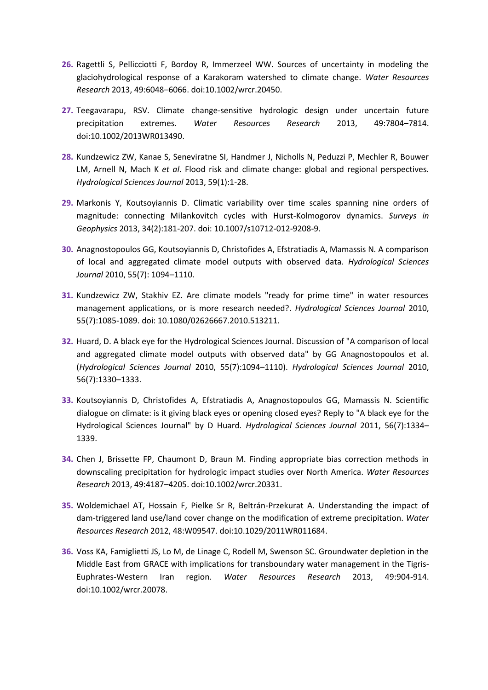- **26.** Ragettli S, Pellicciotti F, Bordoy R, Immerzeel WW. Sources of uncertainty in modeling the glaciohydrological response of a Karakoram watershed to climate change. *Water Resources Research* 2013, 49:6048–6066. doi:10.1002/wrcr.20450.
- **27.** Teegavarapu, RSV. Climate change-sensitive hydrologic design under uncertain future precipitation extremes. *Water Resources Research* 2013, 49:7804–7814. doi:10.1002/2013WR013490.
- **28.** Kundzewicz ZW, Kanae S, Seneviratne SI, Handmer J, Nicholls N, Peduzzi P, Mechler R, Bouwer LM, Arnell N, Mach K *et al*. Flood risk and climate change: global and regional perspectives. *Hydrological Sciences Journal* 2013, 59(1):1-28.
- **29.** Markonis Y, Koutsoyiannis D. Climatic variability over time scales spanning nine orders of magnitude: connecting Milankovitch cycles with Hurst-Kolmogorov dynamics. *Surveys in Geophysics* 2013, 34(2):181-207. doi: 10.1007/s10712-012-9208-9.
- **30.** Anagnostopoulos GG, Koutsoyiannis D, Christofides A, Efstratiadis A, Mamassis N. A comparison of local and aggregated climate model outputs with observed data. *Hydrological Sciences Journal* 2010, 55(7): 1094–1110.
- **31.** Kundzewicz ZW, Stakhiv EZ. Are climate models "ready for prime time" in water resources management applications, or is more research needed?. *Hydrological Sciences Journal* 2010, 55(7):1085-1089. doi: 10.1080/02626667.2010.513211.
- **32.** Huard, D. A black eye for the Hydrological Sciences Journal. Discussion of "A comparison of local and aggregated climate model outputs with observed data" by GG Anagnostopoulos et al. (*Hydrological Sciences Journal* 2010, 55(7):1094–1110). *Hydrological Sciences Journal* 2010, 56(7):1330–1333.
- **33.** Koutsoyiannis D, Christofides A, Efstratiadis A, Anagnostopoulos GG, Mamassis N. Scientific dialogue on climate: is it giving black eyes or opening closed eyes? Reply to "A black eye for the Hydrological Sciences Journal" by D Huard*. Hydrological Sciences Journal* 2011, 56(7):1334– 1339.
- **34.** Chen J, Brissette FP, Chaumont D, Braun M. Finding appropriate bias correction methods in downscaling precipitation for hydrologic impact studies over North America. *Water Resources Research* 2013, 49:4187–4205. doi:10.1002/wrcr.20331.
- **35.** Woldemichael AT, Hossain F, Pielke Sr R, Beltrán-Przekurat A. Understanding the impact of dam-triggered land use/land cover change on the modification of extreme precipitation. *Water Resources Research* 2012, 48:W09547. doi:10.1029/2011WR011684.
- **36.** Voss KA, Famiglietti JS, Lo M, de Linage C, Rodell M, Swenson SC. Groundwater depletion in the Middle East from GRACE with implications for transboundary water management in the Tigris-Euphrates-Western Iran region. *Water Resources Research* 2013, 49:904-914. doi:10.1002/wrcr.20078.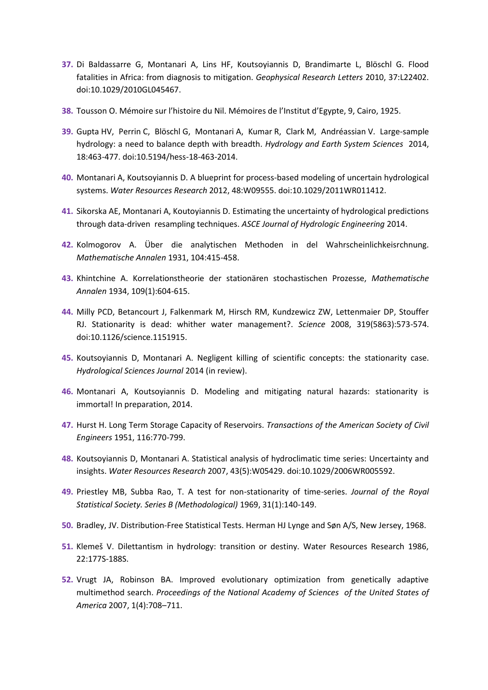- **37.** Di Baldassarre G, Montanari A, Lins HF, Koutsoyiannis D, Brandimarte L, Blöschl G. Flood fatalities in Africa: from diagnosis to mitigation. *Geophysical Research Letters* 2010, 37:L22402. doi:10.1029/2010GL045467.
- **38.** Tousson O. Mémoire sur l'histoire du Nil. Mémoires de l'Institut d'Egypte, 9, Cairo, 1925.
- **39.** Gupta HV, Perrin C, Blöschl G, Montanari A, Kumar R, Clark M, Andréassian V. Large-sample hydrology: a need to balance depth with breadth. *Hydrology and Earth System Sciences* 2014, 18:463-477. doi:10.5194/hess-18-463-2014.
- **40.** Montanari A, Koutsoyiannis D. A blueprint for process-based modeling of uncertain hydrological systems. *Water Resources Research* 2012, 48:W09555. doi:10.1029/2011WR011412.
- **41.** Sikorska AE, Montanari A, Koutoyiannis D. Estimating the uncertainty of hydrological predictions through data-driven resampling techniques. *ASCE Journal of Hydrologic Engineering* 2014.
- **42.** Kolmogorov A. Über die analytischen Methoden in del Wahrscheinlichkeisrchnung. *Mathematische Annalen* 1931, 104:415-458.
- **43.** Khintchine A. Korrelationstheorie der stationären stochastischen Prozesse, *Mathematische Annalen* 1934, 109(1):604-615.
- **44.** Milly PCD, Betancourt J, Falkenmark M, Hirsch RM, Kundzewicz ZW, Lettenmaier DP, Stouffer RJ. Stationarity is dead: whither water management?. *Science* 2008, 319(5863):573-574. doi:10.1126/science.1151915.
- **45.** Koutsoyiannis D, Montanari A. Negligent killing of scientific concepts: the stationarity case. *Hydrological Sciences Journal* 2014 (in review).
- **46.** Montanari A, Koutsoyiannis D. Modeling and mitigating natural hazards: stationarity is immortal! In preparation, 2014.
- **47.** Hurst H. Long Term Storage Capacity of Reservoirs. *Transactions of the American Society of Civil Engineers* 1951, 116:770-799.
- **48.** Koutsoyiannis D, Montanari A. Statistical analysis of hydroclimatic time series: Uncertainty and insights. *Water Resources Research* 2007, 43(5):W05429. doi:10.1029/2006WR005592.
- **49.** Priestley MB, Subba Rao, T. A test for non-stationarity of time-series. *Journal of the Royal Statistical Society. Series B (Methodological)* 1969, 31(1):140-149.
- **50.** Bradley, JV. Distribution-Free Statistical Tests. Herman HJ Lynge and Søn A/S, New Jersey, 1968.
- **51.** Klemeš V. Dilettantism in hydrology: transition or destiny. Water Resources Research 1986, 22:177S-188S.
- **52.** Vrugt JA, Robinson BA. Improved evolutionary optimization from genetically adaptive multimethod search. *Proceedings of the National Academy of Sciences of the United States of America* 2007, 1(4):708–711.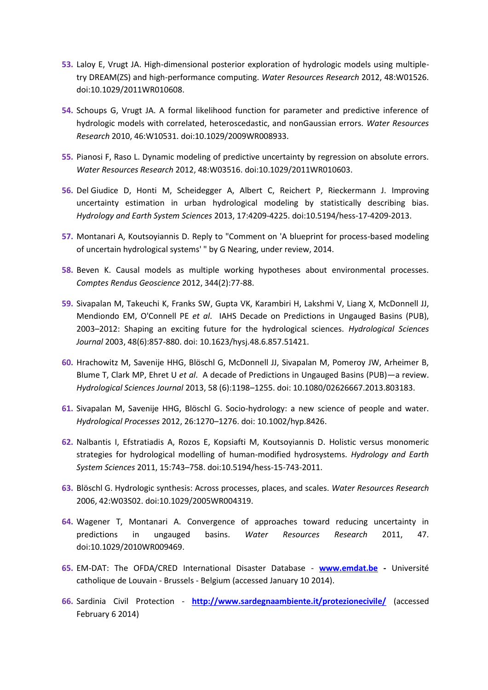- **53.** Laloy E, Vrugt JA. High-dimensional posterior exploration of hydrologic models using multipletry DREAM(ZS) and high-performance computing. *Water Resources Research* 2012, 48:W01526. doi:10.1029/2011WR010608.
- **54.** Schoups G, Vrugt JA. A formal likelihood function for parameter and predictive inference of hydrologic models with correlated, heteroscedastic, and nonGaussian errors. *Water Resources Research* 2010, 46:W10531. doi:10.1029/2009WR008933.
- **55.** Pianosi F, Raso L. Dynamic modeling of predictive uncertainty by regression on absolute errors. *Water Resources Research* 2012, 48:W03516. doi:10.1029/2011WR010603.
- **56.** Del Giudice D, Honti M, Scheidegger A, Albert C, Reichert P, Rieckermann J. Improving uncertainty estimation in urban hydrological modeling by statistically describing bias. *Hydrology and Earth System Sciences* 2013, 17:4209-4225. doi:10.5194/hess-17-4209-2013.
- **57.** Montanari A, Koutsoyiannis D. Reply to "Comment on 'A blueprint for process-based modeling of uncertain hydrological systems' " by G Nearing, under review, 2014.
- **58.** Beven K. Causal models as multiple working hypotheses about environmental processes. *Comptes Rendus Geoscience* 2012, 344(2):77-88.
- **59.** Sivapalan M, Takeuchi K, Franks SW, Gupta VK, Karambiri H, Lakshmi V, Liang X, McDonnell JJ, Mendiondo EM, O'Connell PE *et al*. IAHS Decade on Predictions in Ungauged Basins (PUB), 2003–2012: Shaping an exciting future for the hydrological sciences. *Hydrological Sciences Journal* 2003, 48(6):857-880. doi: 10.1623/hysj.48.6.857.51421.
- **60.** Hrachowitz M, Savenije HHG, Blöschl G, McDonnell JJ, Sivapalan M, Pomeroy JW, Arheimer B, Blume T, Clark MP, Ehret U *et al*. A decade of Predictions in Ungauged Basins (PUB)—a review. *Hydrological Sciences Journal* 2013, 58 (6):1198–1255. doi: 10.1080/02626667.2013.803183.
- **61.** Sivapalan M, Savenije HHG, Blöschl G. Socio-hydrology: a new science of people and water. *Hydrological Processes* 2012, 26:1270–1276. doi: 10.1002/hyp.8426.
- **62.** Nalbantis I, Efstratiadis A, Rozos E, Kopsiafti M, Koutsoyiannis D. Holistic versus monomeric strategies for hydrological modelling of human-modified hydrosystems. *Hydrology and Earth System Sciences* 2011, 15:743–758. doi:10.5194/hess-15-743-2011.
- **63.** Blöschl G. Hydrologic synthesis: Across processes, places, and scales. *Water Resources Research* 2006, 42:W03S02. doi:10.1029/2005WR004319.
- **64.** Wagener T, Montanari A. Convergence of approaches toward reducing uncertainty in predictions in ungauged basins. *Water Resources Research* 2011, 47. doi:10.1029/2010WR009469.
- **65.** EM-DAT: The OFDA/CRED International Disaster Database **[www.emdat.be](http://www.emdat.be/) -** Université catholique de Louvain - Brussels - Belgium (accessed January 10 2014).
- **66.** Sardinia Civil Protection **http://www.sardegnaambiente.it/protezionecivile/** (accessed February 6 2014)